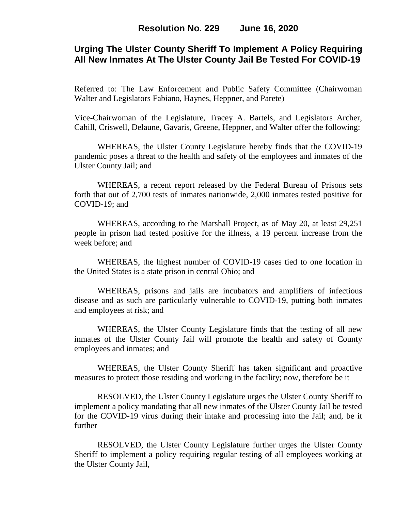# **Urging The Ulster County Sheriff To Implement A Policy Requiring All New Inmates At The Ulster County Jail Be Tested For COVID-19**

Referred to: The Law Enforcement and Public Safety Committee (Chairwoman Walter and Legislators Fabiano, Haynes, Heppner, and Parete)

Vice-Chairwoman of the Legislature, Tracey A. Bartels, and Legislators Archer, Cahill, Criswell, Delaune, Gavaris, Greene, Heppner, and Walter offer the following:

WHEREAS, the Ulster County Legislature hereby finds that the COVID-19 pandemic poses a threat to the health and safety of the employees and inmates of the Ulster County Jail; and

WHEREAS, a recent report released by the Federal Bureau of Prisons sets forth that out of 2,700 tests of inmates nationwide, 2,000 inmates tested positive for COVID-19; and

WHEREAS, according to the Marshall Project, as of May 20, at least 29,251 people in prison had tested positive for the illness, a 19 percent increase from the week before; and

WHEREAS, the highest number of COVID-19 cases tied to one location in the United States is a state prison in central Ohio; and

WHEREAS, prisons and jails are incubators and amplifiers of infectious disease and as such are particularly vulnerable to COVID-19, putting both inmates and employees at risk; and

WHEREAS, the Ulster County Legislature finds that the testing of all new inmates of the Ulster County Jail will promote the health and safety of County employees and inmates; and

WHEREAS, the Ulster County Sheriff has taken significant and proactive measures to protect those residing and working in the facility; now, therefore be it

RESOLVED, the Ulster County Legislature urges the Ulster County Sheriff to implement a policy mandating that all new inmates of the Ulster County Jail be tested for the COVID-19 virus during their intake and processing into the Jail; and, be it further

RESOLVED, the Ulster County Legislature further urges the Ulster County Sheriff to implement a policy requiring regular testing of all employees working at the Ulster County Jail,